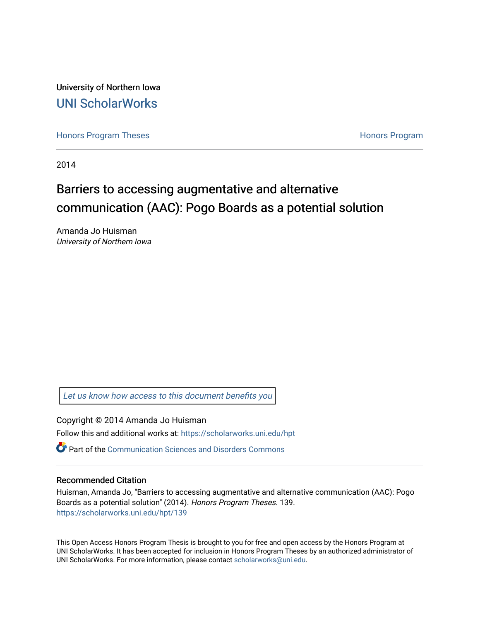University of Northern Iowa [UNI ScholarWorks](https://scholarworks.uni.edu/) 

[Honors Program Theses](https://scholarworks.uni.edu/hpt) **Honors Program** Honors Program

2014

## Barriers to accessing augmentative and alternative communication (AAC): Pogo Boards as a potential solution

Amanda Jo Huisman University of Northern Iowa

[Let us know how access to this document benefits you](https://scholarworks.uni.edu/feedback_form.html) 

Copyright © 2014 Amanda Jo Huisman

Follow this and additional works at: [https://scholarworks.uni.edu/hpt](https://scholarworks.uni.edu/hpt?utm_source=scholarworks.uni.edu%2Fhpt%2F139&utm_medium=PDF&utm_campaign=PDFCoverPages) 

**P** Part of the [Communication Sciences and Disorders Commons](http://network.bepress.com/hgg/discipline/1019?utm_source=scholarworks.uni.edu%2Fhpt%2F139&utm_medium=PDF&utm_campaign=PDFCoverPages)

#### Recommended Citation

Huisman, Amanda Jo, "Barriers to accessing augmentative and alternative communication (AAC): Pogo Boards as a potential solution" (2014). Honors Program Theses. 139. [https://scholarworks.uni.edu/hpt/139](https://scholarworks.uni.edu/hpt/139?utm_source=scholarworks.uni.edu%2Fhpt%2F139&utm_medium=PDF&utm_campaign=PDFCoverPages) 

This Open Access Honors Program Thesis is brought to you for free and open access by the Honors Program at UNI ScholarWorks. It has been accepted for inclusion in Honors Program Theses by an authorized administrator of UNI ScholarWorks. For more information, please contact [scholarworks@uni.edu.](mailto:scholarworks@uni.edu)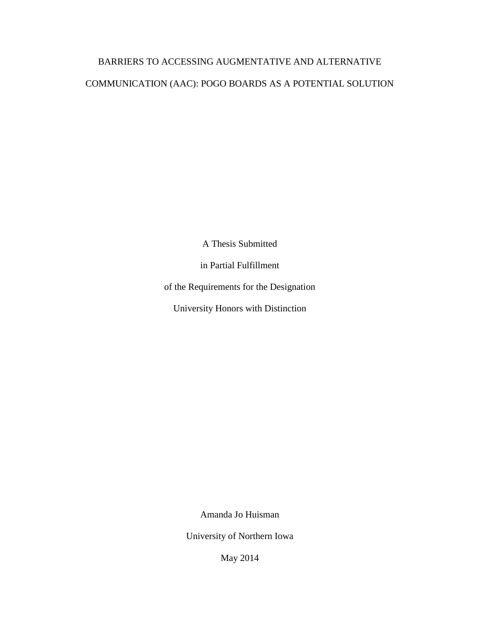# BARRIERS TO ACCESSING AUGMENTATIVE AND ALTERNATIVE COMMUNICATION (AAC): POGO BOARDS AS A POTENTIAL SOLUTION

A Thesis Submitted

in Partial Fulfillment

of the Requirements for the Designation

University Honors with Distinction

Amanda Jo Huisman

University of Northern Iowa

May 2014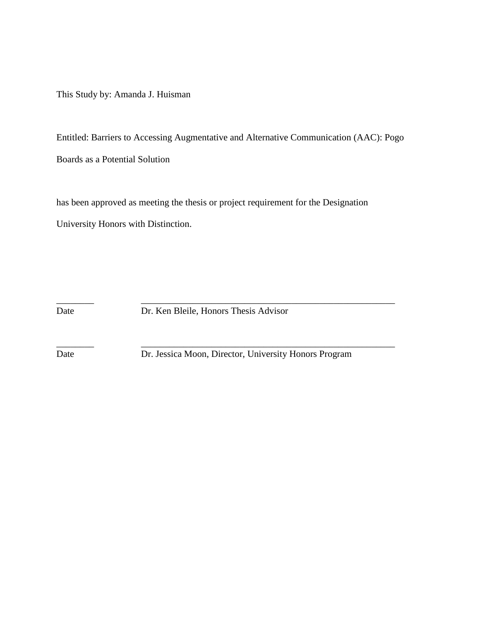This Study by: Amanda J. Huisman

Entitled: Barriers to Accessing Augmentative and Alternative Communication (AAC): Pogo Boards as a Potential Solution

has been approved as meeting the thesis or project requirement for the Designation University Honors with Distinction.

Date Dr. Ken Bleile, Honors Thesis Advisor

\_\_\_\_\_\_\_\_ \_\_\_\_\_\_\_\_\_\_\_\_\_\_\_\_\_\_\_\_\_\_\_\_\_\_\_\_\_\_\_\_\_\_\_\_\_\_\_\_\_\_\_\_\_\_\_\_\_\_\_\_\_\_

\_\_\_\_\_\_\_\_ \_\_\_\_\_\_\_\_\_\_\_\_\_\_\_\_\_\_\_\_\_\_\_\_\_\_\_\_\_\_\_\_\_\_\_\_\_\_\_\_\_\_\_\_\_\_\_\_\_\_\_\_\_\_

Date Dr. Jessica Moon, Director, University Honors Program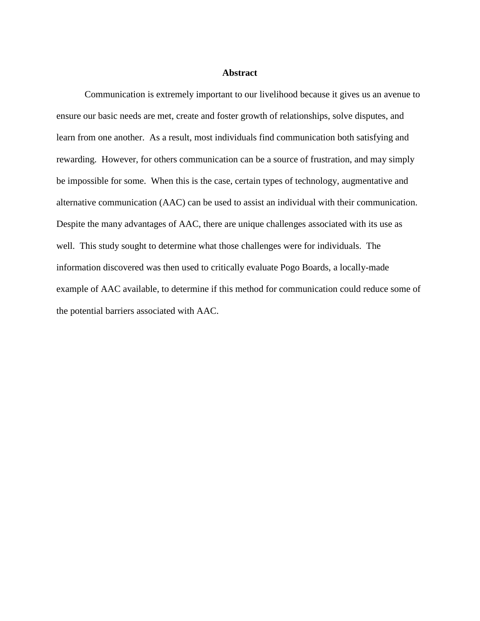#### **Abstract**

Communication is extremely important to our livelihood because it gives us an avenue to ensure our basic needs are met, create and foster growth of relationships, solve disputes, and learn from one another. As a result, most individuals find communication both satisfying and rewarding. However, for others communication can be a source of frustration, and may simply be impossible for some. When this is the case, certain types of technology, augmentative and alternative communication (AAC) can be used to assist an individual with their communication. Despite the many advantages of AAC, there are unique challenges associated with its use as well. This study sought to determine what those challenges were for individuals. The information discovered was then used to critically evaluate Pogo Boards, a locally-made example of AAC available, to determine if this method for communication could reduce some of the potential barriers associated with AAC.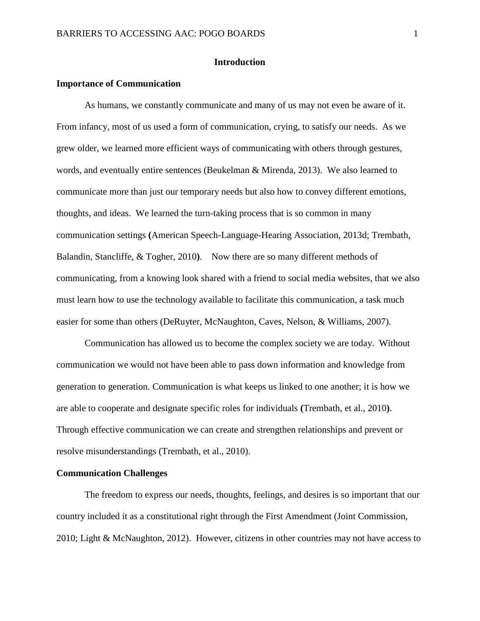#### **Introduction**

#### **Importance of Communication**

As humans, we constantly communicate and many of us may not even be aware of it. From infancy, most of us used a form of communication, crying, to satisfy our needs. As we grew older, we learned more efficient ways of communicating with others through gestures, words, and eventually entire sentences (Beukelman & Mirenda, 2013). We also learned to communicate more than just our temporary needs but also how to convey different emotions, thoughts, and ideas. We learned the turn-taking process that is so common in many communication settings **(**American Speech-Language-Hearing Association, 2013d; Trembath, Balandin, Stancliffe, & Togher, 2010**)**. Now there are so many different methods of communicating, from a knowing look shared with a friend to social media websites, that we also must learn how to use the technology available to facilitate this communication, a task much easier for some than others (DeRuyter, McNaughton, Caves, Nelson, & Williams, 2007).

Communication has allowed us to become the complex society we are today. Without communication we would not have been able to pass down information and knowledge from generation to generation. Communication is what keeps us linked to one another; it is how we are able to cooperate and designate specific roles for individuals **(**Trembath, et al., 2010**)**. Through effective communication we can create and strengthen relationships and prevent or resolve misunderstandings (Trembath, et al., 2010).

#### **Communication Challenges**

The freedom to express our needs, thoughts, feelings, and desires is so important that our country included it as a constitutional right through the First Amendment (Joint Commission, 2010; Light & McNaughton, 2012). However, citizens in other countries may not have access to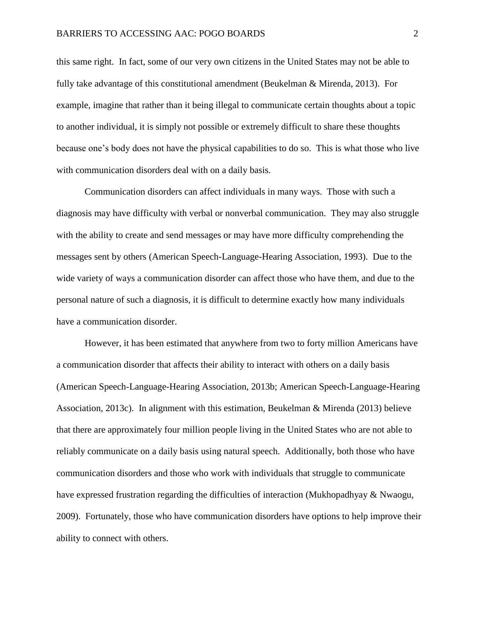this same right. In fact, some of our very own citizens in the United States may not be able to fully take advantage of this constitutional amendment (Beukelman & Mirenda, 2013). For example, imagine that rather than it being illegal to communicate certain thoughts about a topic to another individual, it is simply not possible or extremely difficult to share these thoughts because one's body does not have the physical capabilities to do so. This is what those who live with communication disorders deal with on a daily basis.

Communication disorders can affect individuals in many ways. Those with such a diagnosis may have difficulty with verbal or nonverbal communication. They may also struggle with the ability to create and send messages or may have more difficulty comprehending the messages sent by others (American Speech-Language-Hearing Association, 1993).Due to the wide variety of ways a communication disorder can affect those who have them, and due to the personal nature of such a diagnosis, it is difficult to determine exactly how many individuals have a communication disorder.

However, it has been estimated that anywhere from two to forty million Americans have a communication disorder that affects their ability to interact with others on a daily basis (American Speech-Language-Hearing Association, 2013b; American Speech-Language-Hearing Association, 2013c). In alignment with this estimation, Beukelman & Mirenda (2013) believe that there are approximately four million people living in the United States who are not able to reliably communicate on a daily basis using natural speech. Additionally, both those who have communication disorders and those who work with individuals that struggle to communicate have expressed frustration regarding the difficulties of interaction (Mukhopadhyay & Nwaogu, 2009). Fortunately, those who have communication disorders have options to help improve their ability to connect with others.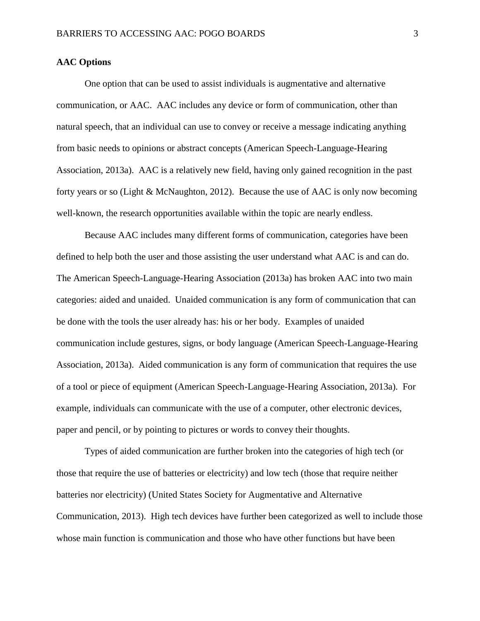#### **AAC Options**

One option that can be used to assist individuals is augmentative and alternative communication, or AAC. AAC includes any device or form of communication, other than natural speech, that an individual can use to convey or receive a message indicating anything from basic needs to opinions or abstract concepts (American Speech-Language-Hearing Association, 2013a). AAC is a relatively new field, having only gained recognition in the past forty years or so (Light & McNaughton, 2012). Because the use of AAC is only now becoming well-known, the research opportunities available within the topic are nearly endless.

Because AAC includes many different forms of communication, categories have been defined to help both the user and those assisting the user understand what AAC is and can do. The American Speech-Language-Hearing Association (2013a) has broken AAC into two main categories: aided and unaided. Unaided communication is any form of communication that can be done with the tools the user already has: his or her body. Examples of unaided communication include gestures, signs, or body language (American Speech-Language-Hearing Association, 2013a). Aided communication is any form of communication that requires the use of a tool or piece of equipment (American Speech-Language-Hearing Association, 2013a). For example, individuals can communicate with the use of a computer, other electronic devices, paper and pencil, or by pointing to pictures or words to convey their thoughts.

Types of aided communication are further broken into the categories of high tech (or those that require the use of batteries or electricity) and low tech (those that require neither batteries nor electricity) (United States Society for Augmentative and Alternative Communication, 2013). High tech devices have further been categorized as well to include those whose main function is communication and those who have other functions but have been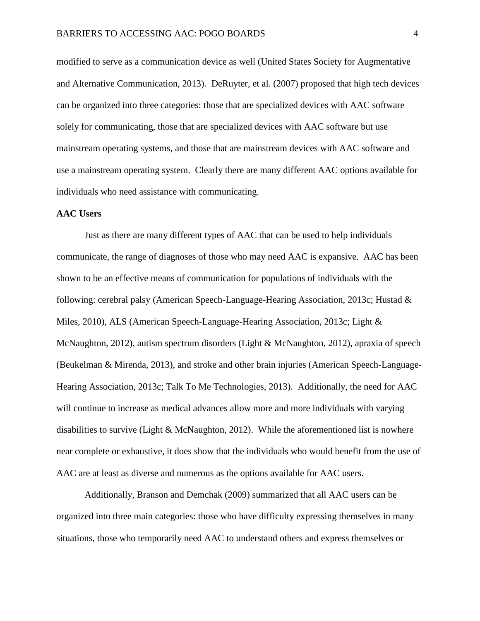modified to serve as a communication device as well (United States Society for Augmentative and Alternative Communication, 2013). DeRuyter, et al. (2007) proposed that high tech devices can be organized into three categories: those that are specialized devices with AAC software solely for communicating, those that are specialized devices with AAC software but use mainstream operating systems, and those that are mainstream devices with AAC software and use a mainstream operating system. Clearly there are many different AAC options available for individuals who need assistance with communicating.

#### **AAC Users**

Just as there are many different types of AAC that can be used to help individuals communicate, the range of diagnoses of those who may need AAC is expansive. AAC has been shown to be an effective means of communication for populations of individuals with the following: cerebral palsy (American Speech-Language-Hearing Association, 2013c; Hustad & Miles, 2010), ALS (American Speech-Language-Hearing Association, 2013c; Light & McNaughton, 2012), autism spectrum disorders (Light & McNaughton, 2012), apraxia of speech (Beukelman & Mirenda, 2013), and stroke and other brain injuries (American Speech-Language-Hearing Association, 2013c; Talk To Me Technologies, 2013). Additionally, the need for AAC will continue to increase as medical advances allow more and more individuals with varying disabilities to survive (Light & McNaughton, 2012). While the aforementioned list is nowhere near complete or exhaustive, it does show that the individuals who would benefit from the use of AAC are at least as diverse and numerous as the options available for AAC users.

Additionally, Branson and Demchak (2009) summarized that all AAC users can be organized into three main categories: those who have difficulty expressing themselves in many situations, those who temporarily need AAC to understand others and express themselves or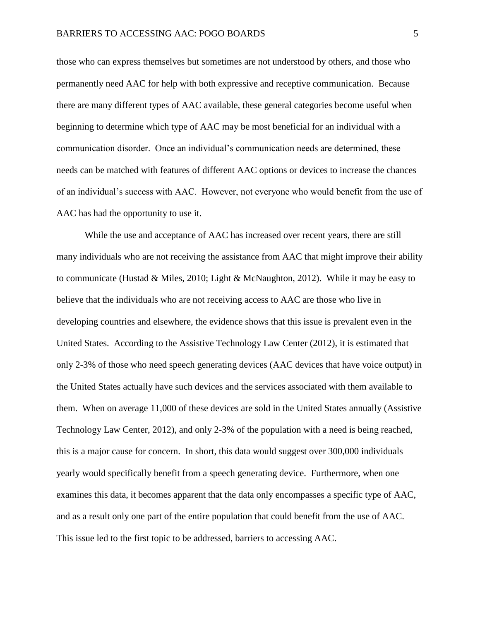those who can express themselves but sometimes are not understood by others, and those who permanently need AAC for help with both expressive and receptive communication. Because there are many different types of AAC available, these general categories become useful when beginning to determine which type of AAC may be most beneficial for an individual with a communication disorder. Once an individual's communication needs are determined, these needs can be matched with features of different AAC options or devices to increase the chances of an individual's success with AAC. However, not everyone who would benefit from the use of AAC has had the opportunity to use it.

While the use and acceptance of AAC has increased over recent years, there are still many individuals who are not receiving the assistance from AAC that might improve their ability to communicate (Hustad & Miles, 2010; Light & McNaughton, 2012). While it may be easy to believe that the individuals who are not receiving access to AAC are those who live in developing countries and elsewhere, the evidence shows that this issue is prevalent even in the United States. According to the Assistive Technology Law Center (2012), it is estimated that only 2-3% of those who need speech generating devices (AAC devices that have voice output) in the United States actually have such devices and the services associated with them available to them. When on average 11,000 of these devices are sold in the United States annually (Assistive Technology Law Center, 2012), and only 2-3% of the population with a need is being reached, this is a major cause for concern. In short, this data would suggest over 300,000 individuals yearly would specifically benefit from a speech generating device. Furthermore, when one examines this data, it becomes apparent that the data only encompasses a specific type of AAC, and as a result only one part of the entire population that could benefit from the use of AAC. This issue led to the first topic to be addressed, barriers to accessing AAC.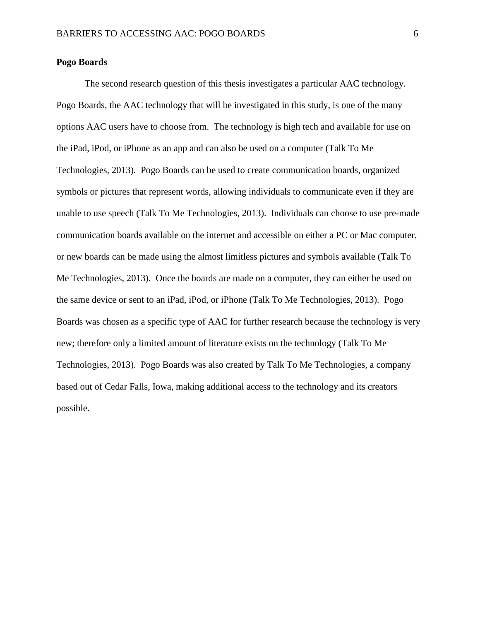#### **Pogo Boards**

The second research question of this thesis investigates a particular AAC technology. Pogo Boards, the AAC technology that will be investigated in this study, is one of the many options AAC users have to choose from. The technology is high tech and available for use on the iPad, iPod, or iPhone as an app and can also be used on a computer (Talk To Me Technologies, 2013). Pogo Boards can be used to create communication boards, organized symbols or pictures that represent words, allowing individuals to communicate even if they are unable to use speech (Talk To Me Technologies, 2013). Individuals can choose to use pre-made communication boards available on the internet and accessible on either a PC or Mac computer, or new boards can be made using the almost limitless pictures and symbols available (Talk To Me Technologies, 2013). Once the boards are made on a computer, they can either be used on the same device or sent to an iPad, iPod, or iPhone (Talk To Me Technologies, 2013). Pogo Boards was chosen as a specific type of AAC for further research because the technology is very new; therefore only a limited amount of literature exists on the technology (Talk To Me Technologies, 2013). Pogo Boards was also created by Talk To Me Technologies, a company based out of Cedar Falls, Iowa, making additional access to the technology and its creators possible.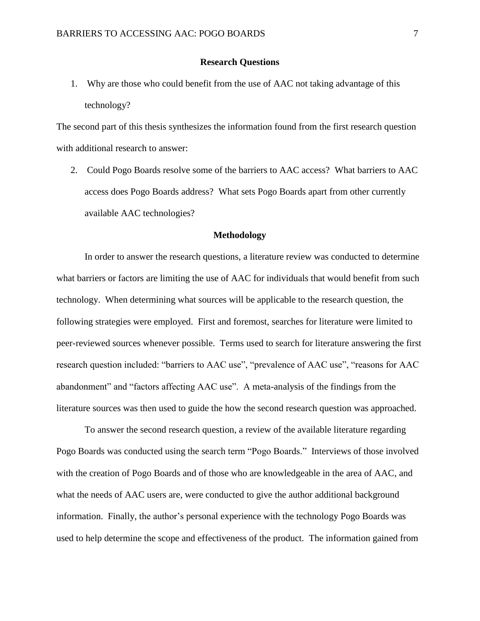#### **Research Questions**

1. Why are those who could benefit from the use of AAC not taking advantage of this technology?

The second part of this thesis synthesizes the information found from the first research question with additional research to answer:

2. Could Pogo Boards resolve some of the barriers to AAC access? What barriers to AAC access does Pogo Boards address? What sets Pogo Boards apart from other currently available AAC technologies?

#### **Methodology**

In order to answer the research questions, a literature review was conducted to determine what barriers or factors are limiting the use of AAC for individuals that would benefit from such technology. When determining what sources will be applicable to the research question, the following strategies were employed. First and foremost, searches for literature were limited to peer-reviewed sources whenever possible. Terms used to search for literature answering the first research question included: "barriers to AAC use", "prevalence of AAC use", "reasons for AAC abandonment" and "factors affecting AAC use". A meta-analysis of the findings from the literature sources was then used to guide the how the second research question was approached.

To answer the second research question, a review of the available literature regarding Pogo Boards was conducted using the search term "Pogo Boards." Interviews of those involved with the creation of Pogo Boards and of those who are knowledgeable in the area of AAC, and what the needs of AAC users are, were conducted to give the author additional background information. Finally, the author's personal experience with the technology Pogo Boards was used to help determine the scope and effectiveness of the product. The information gained from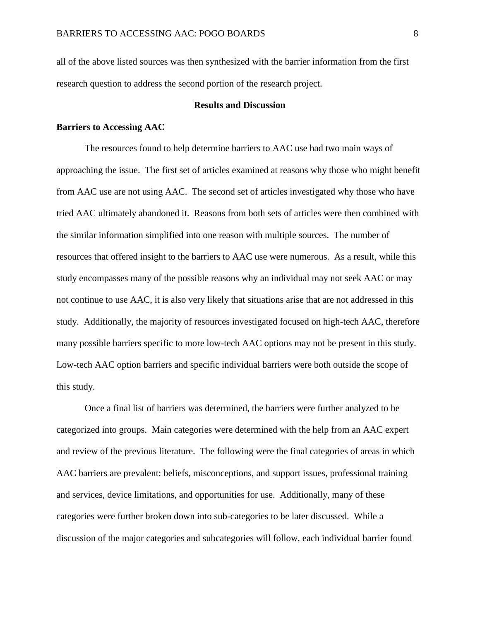all of the above listed sources was then synthesized with the barrier information from the first research question to address the second portion of the research project.

### **Results and Discussion**

#### **Barriers to Accessing AAC**

The resources found to help determine barriers to AAC use had two main ways of approaching the issue. The first set of articles examined at reasons why those who might benefit from AAC use are not using AAC. The second set of articles investigated why those who have tried AAC ultimately abandoned it. Reasons from both sets of articles were then combined with the similar information simplified into one reason with multiple sources. The number of resources that offered insight to the barriers to AAC use were numerous. As a result, while this study encompasses many of the possible reasons why an individual may not seek AAC or may not continue to use AAC, it is also very likely that situations arise that are not addressed in this study. Additionally, the majority of resources investigated focused on high-tech AAC, therefore many possible barriers specific to more low-tech AAC options may not be present in this study. Low-tech AAC option barriers and specific individual barriers were both outside the scope of this study.

Once a final list of barriers was determined, the barriers were further analyzed to be categorized into groups. Main categories were determined with the help from an AAC expert and review of the previous literature. The following were the final categories of areas in which AAC barriers are prevalent: beliefs, misconceptions, and support issues, professional training and services, device limitations, and opportunities for use. Additionally, many of these categories were further broken down into sub-categories to be later discussed. While a discussion of the major categories and subcategories will follow, each individual barrier found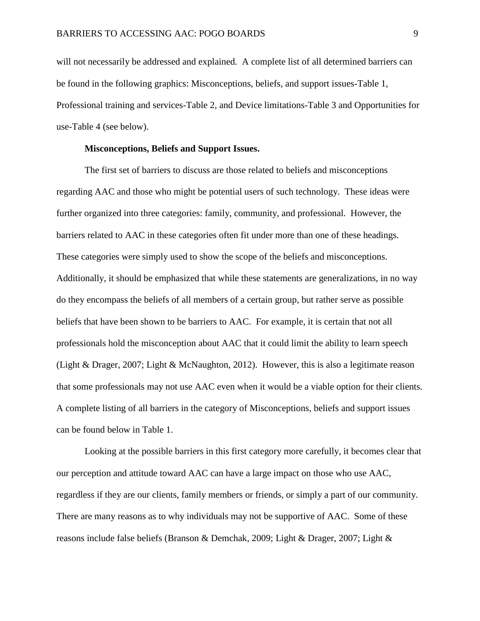will not necessarily be addressed and explained. A complete list of all determined barriers can be found in the following graphics: Misconceptions, beliefs, and support issues-Table 1, Professional training and services-Table 2, and Device limitations-Table 3 and Opportunities for use-Table 4 (see below).

#### **Misconceptions, Beliefs and Support Issues.**

The first set of barriers to discuss are those related to beliefs and misconceptions regarding AAC and those who might be potential users of such technology. These ideas were further organized into three categories: family, community, and professional. However, the barriers related to AAC in these categories often fit under more than one of these headings. These categories were simply used to show the scope of the beliefs and misconceptions. Additionally, it should be emphasized that while these statements are generalizations, in no way do they encompass the beliefs of all members of a certain group, but rather serve as possible beliefs that have been shown to be barriers to AAC. For example, it is certain that not all professionals hold the misconception about AAC that it could limit the ability to learn speech (Light & Drager, 2007; Light & McNaughton, 2012). However, this is also a legitimate reason that some professionals may not use AAC even when it would be a viable option for their clients. A complete listing of all barriers in the category of Misconceptions, beliefs and support issues can be found below in Table 1.

Looking at the possible barriers in this first category more carefully, it becomes clear that our perception and attitude toward AAC can have a large impact on those who use AAC, regardless if they are our clients, family members or friends, or simply a part of our community. There are many reasons as to why individuals may not be supportive of AAC. Some of these reasons include false beliefs (Branson & Demchak, 2009; Light & Drager, 2007; Light &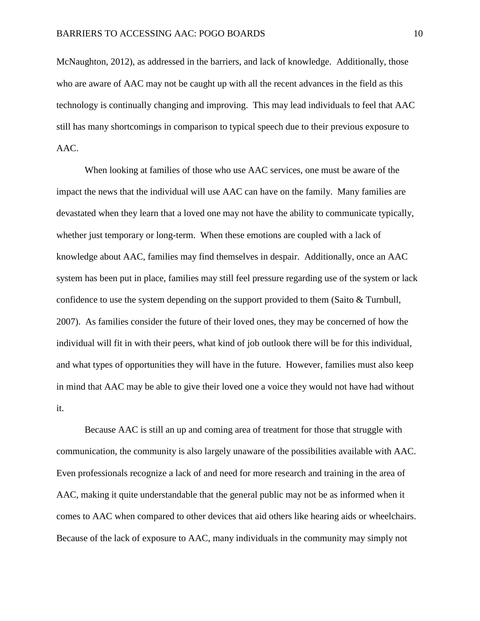McNaughton, 2012), as addressed in the barriers, and lack of knowledge. Additionally, those who are aware of AAC may not be caught up with all the recent advances in the field as this technology is continually changing and improving. This may lead individuals to feel that AAC still has many shortcomings in comparison to typical speech due to their previous exposure to AAC.

When looking at families of those who use AAC services, one must be aware of the impact the news that the individual will use AAC can have on the family. Many families are devastated when they learn that a loved one may not have the ability to communicate typically, whether just temporary or long-term. When these emotions are coupled with a lack of knowledge about AAC, families may find themselves in despair. Additionally, once an AAC system has been put in place, families may still feel pressure regarding use of the system or lack confidence to use the system depending on the support provided to them (Saito  $&$  Turnbull, 2007). As families consider the future of their loved ones, they may be concerned of how the individual will fit in with their peers, what kind of job outlook there will be for this individual, and what types of opportunities they will have in the future. However, families must also keep in mind that AAC may be able to give their loved one a voice they would not have had without it.

Because AAC is still an up and coming area of treatment for those that struggle with communication, the community is also largely unaware of the possibilities available with AAC. Even professionals recognize a lack of and need for more research and training in the area of AAC, making it quite understandable that the general public may not be as informed when it comes to AAC when compared to other devices that aid others like hearing aids or wheelchairs. Because of the lack of exposure to AAC, many individuals in the community may simply not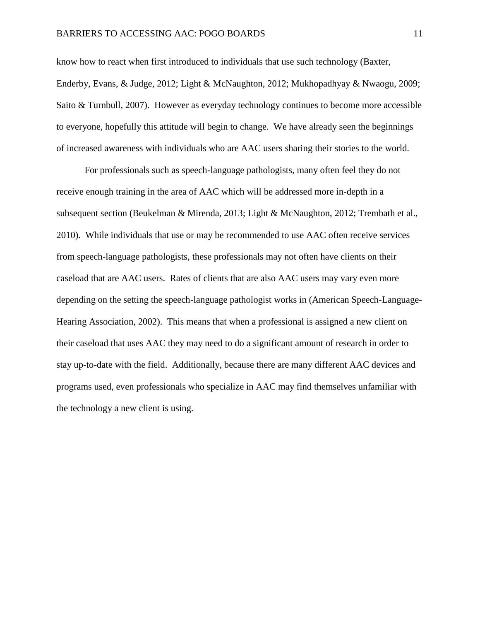know how to react when first introduced to individuals that use such technology (Baxter, Enderby, Evans, & Judge, 2012; Light & McNaughton, 2012; Mukhopadhyay & Nwaogu, 2009; Saito & Turnbull, 2007). However as everyday technology continues to become more accessible to everyone, hopefully this attitude will begin to change. We have already seen the beginnings of increased awareness with individuals who are AAC users sharing their stories to the world.

For professionals such as speech-language pathologists, many often feel they do not receive enough training in the area of AAC which will be addressed more in-depth in a subsequent section (Beukelman & Mirenda, 2013; Light & McNaughton, 2012; Trembath et al., 2010). While individuals that use or may be recommended to use AAC often receive services from speech-language pathologists, these professionals may not often have clients on their caseload that are AAC users. Rates of clients that are also AAC users may vary even more depending on the setting the speech-language pathologist works in (American Speech-Language-Hearing Association, 2002).This means that when a professional is assigned a new client on their caseload that uses AAC they may need to do a significant amount of research in order to stay up-to-date with the field. Additionally, because there are many different AAC devices and programs used, even professionals who specialize in AAC may find themselves unfamiliar with the technology a new client is using.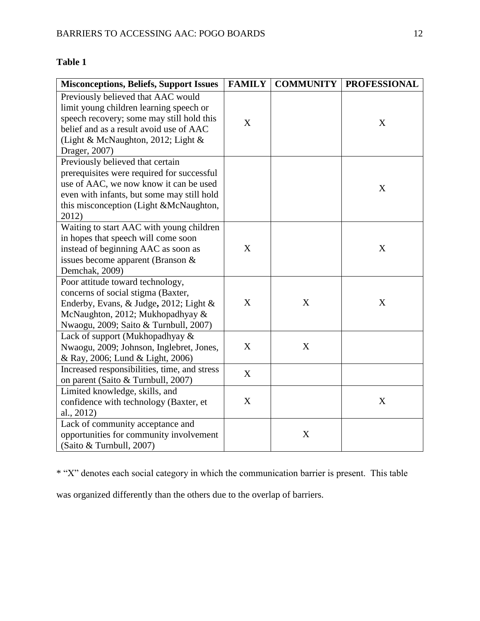## **Table 1**

| <b>Misconceptions, Beliefs, Support Issues</b>                                                                                                                                                                               | <b>FAMILY</b> | <b>COMMUNITY</b> | <b>PROFESSIONAL</b> |
|------------------------------------------------------------------------------------------------------------------------------------------------------------------------------------------------------------------------------|---------------|------------------|---------------------|
| Previously believed that AAC would<br>limit young children learning speech or<br>speech recovery; some may still hold this<br>belief and as a result avoid use of AAC<br>(Light & McNaughton, 2012; Light &<br>Drager, 2007) | X             |                  | X                   |
| Previously believed that certain<br>prerequisites were required for successful<br>use of AAC, we now know it can be used<br>even with infants, but some may still hold<br>this misconception (Light &McNaughton,<br>2012)    |               |                  | X                   |
| Waiting to start AAC with young children<br>in hopes that speech will come soon<br>instead of beginning AAC as soon as<br>issues become apparent (Branson $\&$<br>Demchak, 2009)                                             | X             |                  | X                   |
| Poor attitude toward technology,<br>concerns of social stigma (Baxter,<br>Enderby, Evans, & Judge, 2012; Light &<br>McNaughton, 2012; Mukhopadhyay &<br>Nwaogu, 2009; Saito & Turnbull, 2007)                                | X             | X                | X                   |
| Lack of support (Mukhopadhyay &<br>Nwaogu, 2009; Johnson, Inglebret, Jones,<br>& Ray, 2006; Lund & Light, 2006)                                                                                                              | X             | X                |                     |
| Increased responsibilities, time, and stress<br>on parent (Saito & Turnbull, 2007)                                                                                                                                           | X             |                  |                     |
| Limited knowledge, skills, and<br>confidence with technology (Baxter, et<br>al., 2012)                                                                                                                                       | X             |                  | X                   |
| Lack of community acceptance and<br>opportunities for community involvement<br>(Saito & Turnbull, 2007)                                                                                                                      |               | X                |                     |

\* "X" denotes each social category in which the communication barrier is present. This table

was organized differently than the others due to the overlap of barriers.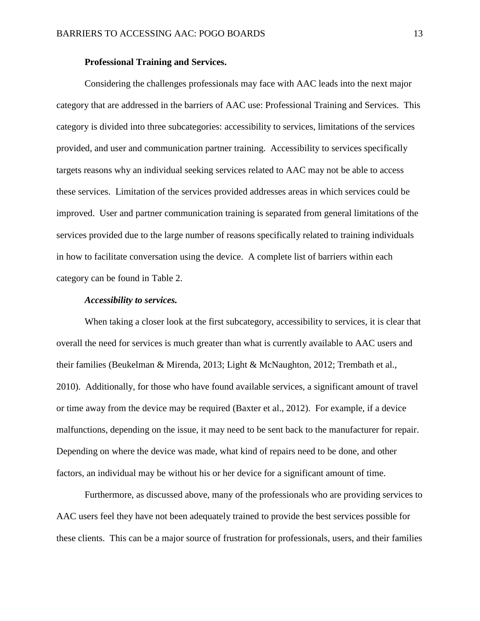#### **Professional Training and Services.**

Considering the challenges professionals may face with AAC leads into the next major category that are addressed in the barriers of AAC use: Professional Training and Services. This category is divided into three subcategories: accessibility to services, limitations of the services provided, and user and communication partner training. Accessibility to services specifically targets reasons why an individual seeking services related to AAC may not be able to access these services. Limitation of the services provided addresses areas in which services could be improved. User and partner communication training is separated from general limitations of the services provided due to the large number of reasons specifically related to training individuals in how to facilitate conversation using the device. A complete list of barriers within each category can be found in Table 2.

#### *Accessibility to services.*

When taking a closer look at the first subcategory, accessibility to services, it is clear that overall the need for services is much greater than what is currently available to AAC users and their families (Beukelman & Mirenda, 2013; Light & McNaughton, 2012; Trembath et al., 2010). Additionally, for those who have found available services, a significant amount of travel or time away from the device may be required (Baxter et al., 2012). For example, if a device malfunctions, depending on the issue, it may need to be sent back to the manufacturer for repair. Depending on where the device was made, what kind of repairs need to be done, and other factors, an individual may be without his or her device for a significant amount of time.

Furthermore, as discussed above, many of the professionals who are providing services to AAC users feel they have not been adequately trained to provide the best services possible for these clients. This can be a major source of frustration for professionals, users, and their families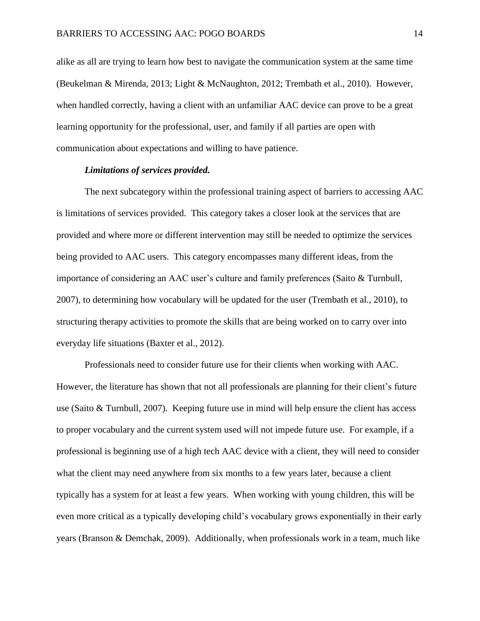alike as all are trying to learn how best to navigate the communication system at the same time (Beukelman & Mirenda, 2013; Light & McNaughton, 2012; Trembath et al., 2010). However, when handled correctly, having a client with an unfamiliar AAC device can prove to be a great learning opportunity for the professional, user, and family if all parties are open with communication about expectations and willing to have patience.

#### *Limitations of services provided.*

The next subcategory within the professional training aspect of barriers to accessing AAC is limitations of services provided. This category takes a closer look at the services that are provided and where more or different intervention may still be needed to optimize the services being provided to AAC users. This category encompasses many different ideas, from the importance of considering an AAC user's culture and family preferences (Saito & Turnbull, 2007), to determining how vocabulary will be updated for the user (Trembath et al., 2010), to structuring therapy activities to promote the skills that are being worked on to carry over into everyday life situations (Baxter et al., 2012).

Professionals need to consider future use for their clients when working with AAC. However, the literature has shown that not all professionals are planning for their client's future use (Saito & Turnbull, 2007). Keeping future use in mind will help ensure the client has access to proper vocabulary and the current system used will not impede future use. For example, if a professional is beginning use of a high tech AAC device with a client, they will need to consider what the client may need anywhere from six months to a few years later, because a client typically has a system for at least a few years. When working with young children, this will be even more critical as a typically developing child's vocabulary grows exponentially in their early years (Branson & Demchak, 2009). Additionally, when professionals work in a team, much like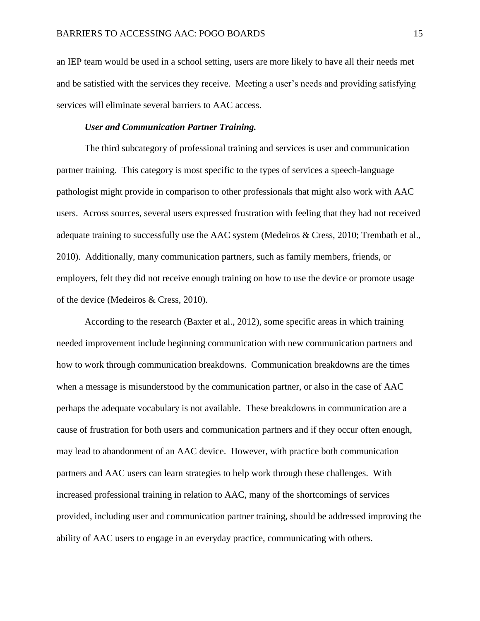an IEP team would be used in a school setting, users are more likely to have all their needs met and be satisfied with the services they receive. Meeting a user's needs and providing satisfying services will eliminate several barriers to AAC access.

#### *User and Communication Partner Training.*

The third subcategory of professional training and services is user and communication partner training. This category is most specific to the types of services a speech-language pathologist might provide in comparison to other professionals that might also work with AAC users. Across sources, several users expressed frustration with feeling that they had not received adequate training to successfully use the AAC system (Medeiros & Cress, 2010; Trembath et al., 2010). Additionally, many communication partners, such as family members, friends, or employers, felt they did not receive enough training on how to use the device or promote usage of the device (Medeiros & Cress, 2010).

According to the research (Baxter et al., 2012), some specific areas in which training needed improvement include beginning communication with new communication partners and how to work through communication breakdowns. Communication breakdowns are the times when a message is misunderstood by the communication partner, or also in the case of AAC perhaps the adequate vocabulary is not available. These breakdowns in communication are a cause of frustration for both users and communication partners and if they occur often enough, may lead to abandonment of an AAC device. However, with practice both communication partners and AAC users can learn strategies to help work through these challenges. With increased professional training in relation to AAC, many of the shortcomings of services provided, including user and communication partner training, should be addressed improving the ability of AAC users to engage in an everyday practice, communicating with others.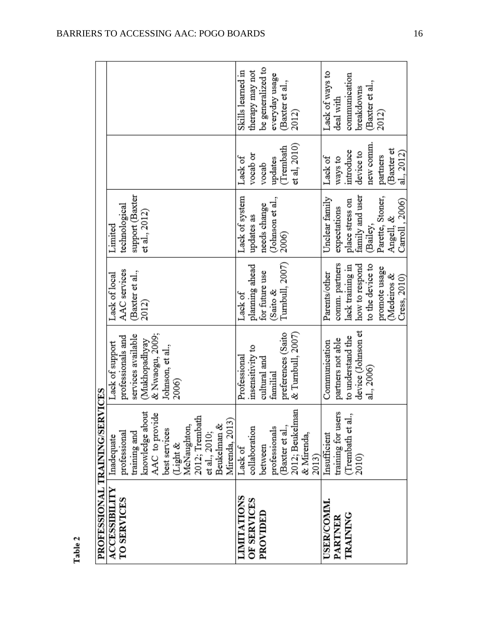| ٠ |  |
|---|--|
| ω |  |
|   |  |
| É |  |
|   |  |

| PROFESSIONAL TRAINING/SERVICES |                              |                    |                  |                  |                   |                   |
|--------------------------------|------------------------------|--------------------|------------------|------------------|-------------------|-------------------|
| <b>ACCESSIBILITY</b>           | Inadequate                   | Lack of support    | Lack of local    | Limited          |                   |                   |
| TO SERVICES                    | professional<br>training and | professionals and  | AAC services     | technological    |                   |                   |
|                                |                              | services available | Baxter et al.,   | support (Baxter  |                   |                   |
|                                | knowledge about              | (Mukhopadhyay      | 2012)            | et al., 2012)    |                   |                   |
|                                | AAC to provide               | & Nwaogu, 2009;    |                  |                  |                   |                   |
|                                | best services                | Johnson, et al.,   |                  |                  |                   |                   |
|                                |                              | 2006)              |                  |                  |                   |                   |
|                                | (Light &<br>McNaughton,      |                    |                  |                  |                   |                   |
|                                | 2012; Trembath               |                    |                  |                  |                   |                   |
|                                | et al., 2010;                |                    |                  |                  |                   |                   |
|                                | Beukelman &                  |                    |                  |                  |                   |                   |
|                                | Mirenda, 2013)               |                    |                  |                  |                   |                   |
| <b>LIMITATIONS</b>             | Lack of                      | Professional       | Lack of          | Lack of system   | Lack of           | Skills learned in |
| OF SERVICES                    | collaboration                | insensitivity to   | planning ahead   | updates as       | vocab or          | therapy may not   |
| PROVIDED                       | between                      | cultural and       | for future use   | needs change     | vocab             | be generalized to |
|                                | professionals                | familial           | $\&$ Saito $\&$  | (Johnson et al., | updates           | everyday usage    |
|                                | Baxter et al.,               | preferences (Saito | Turnbull, 2007)  | 2006)            | (Trembath         | (Baxter et al.,   |
|                                | 2012; Beukelman              | & Turnbull, 2007)  |                  |                  | $et$ al, $2010$ ) | 2012)             |
|                                | & Mirenda,                   |                    |                  |                  |                   |                   |
|                                | 2013)                        |                    |                  |                  |                   |                   |
| USER/COMM.                     | Insufficient                 | Communication      | Parents/other    | Unclear family   | Lack of           | Lack of ways to   |
| PARTNER                        | training for users           | partners not able  | comm. partners   | expectations     | ways to           | deal with         |
| TRAINING                       | (Trembath et al.,            | to understand the  | lack training in | place stress on  | introduce         | communication     |
|                                | 2010)                        | device (Johnson et | how to respond   | family and user  | device to         | breakdowns        |
|                                |                              | al., 2006)         | to the device to | (Bailey,         | new comm.         | (Baxter et al.,   |
|                                |                              |                    | promote usage    | Parette, Stoner, | partners          | 2012)             |
|                                |                              |                    | (Medeiros &      | Angell, &        | (Baxter et        |                   |
|                                |                              |                    | Cress, 2010)     | Carroll, 2006)   | al., 2012)        |                   |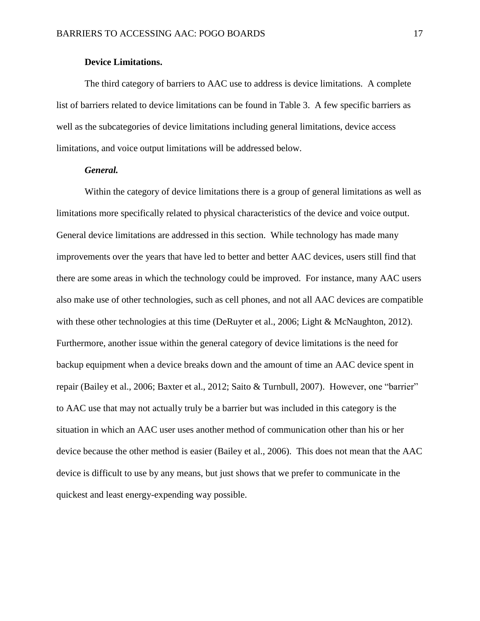#### **Device Limitations.**

The third category of barriers to AAC use to address is device limitations. A complete list of barriers related to device limitations can be found in Table 3. A few specific barriers as well as the subcategories of device limitations including general limitations, device access limitations, and voice output limitations will be addressed below.

#### *General.*

Within the category of device limitations there is a group of general limitations as well as limitations more specifically related to physical characteristics of the device and voice output. General device limitations are addressed in this section. While technology has made many improvements over the years that have led to better and better AAC devices, users still find that there are some areas in which the technology could be improved. For instance, many AAC users also make use of other technologies, such as cell phones, and not all AAC devices are compatible with these other technologies at this time (DeRuyter et al., 2006; Light & McNaughton, 2012). Furthermore, another issue within the general category of device limitations is the need for backup equipment when a device breaks down and the amount of time an AAC device spent in repair (Bailey et al., 2006; Baxter et al., 2012; Saito & Turnbull, 2007). However, one "barrier" to AAC use that may not actually truly be a barrier but was included in this category is the situation in which an AAC user uses another method of communication other than his or her device because the other method is easier (Bailey et al., 2006). This does not mean that the AAC device is difficult to use by any means, but just shows that we prefer to communicate in the quickest and least energy-expending way possible.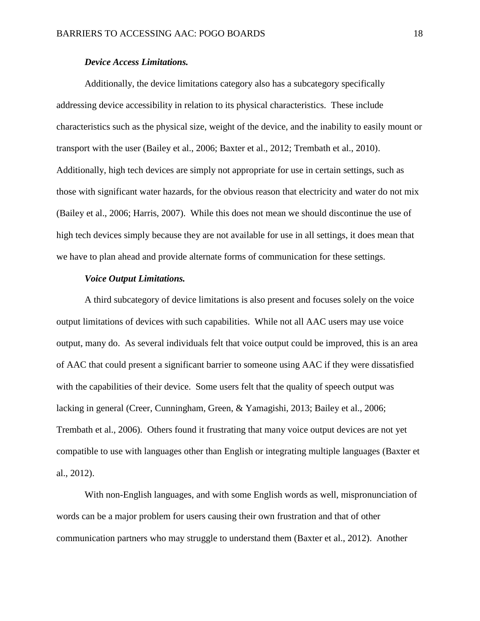#### *Device Access Limitations.*

Additionally, the device limitations category also has a subcategory specifically addressing device accessibility in relation to its physical characteristics. These include characteristics such as the physical size, weight of the device, and the inability to easily mount or transport with the user (Bailey et al., 2006; Baxter et al., 2012; Trembath et al., 2010). Additionally, high tech devices are simply not appropriate for use in certain settings, such as those with significant water hazards, for the obvious reason that electricity and water do not mix (Bailey et al., 2006; Harris, 2007). While this does not mean we should discontinue the use of high tech devices simply because they are not available for use in all settings, it does mean that we have to plan ahead and provide alternate forms of communication for these settings.

#### *Voice Output Limitations.*

A third subcategory of device limitations is also present and focuses solely on the voice output limitations of devices with such capabilities. While not all AAC users may use voice output, many do. As several individuals felt that voice output could be improved, this is an area of AAC that could present a significant barrier to someone using AAC if they were dissatisfied with the capabilities of their device. Some users felt that the quality of speech output was lacking in general (Creer, Cunningham, Green, & Yamagishi, 2013; Bailey et al., 2006; Trembath et al., 2006). Others found it frustrating that many voice output devices are not yet compatible to use with languages other than English or integrating multiple languages (Baxter et al., 2012).

With non-English languages, and with some English words as well, mispronunciation of words can be a major problem for users causing their own frustration and that of other communication partners who may struggle to understand them (Baxter et al., 2012). Another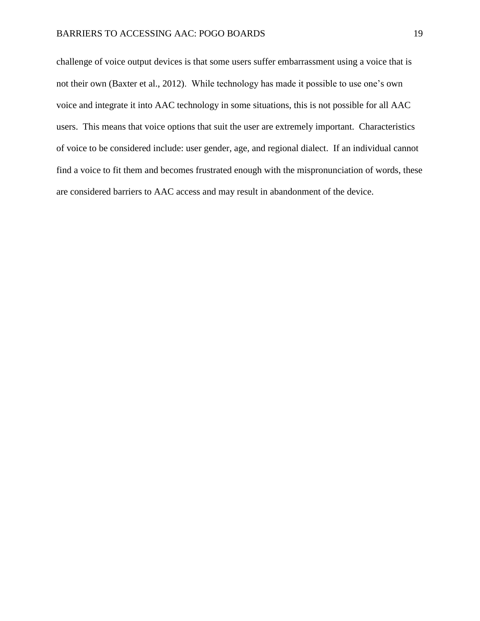challenge of voice output devices is that some users suffer embarrassment using a voice that is not their own (Baxter et al., 2012). While technology has made it possible to use one's own voice and integrate it into AAC technology in some situations, this is not possible for all AAC users. This means that voice options that suit the user are extremely important. Characteristics of voice to be considered include: user gender, age, and regional dialect. If an individual cannot find a voice to fit them and becomes frustrated enough with the mispronunciation of words, these are considered barriers to AAC access and may result in abandonment of the device.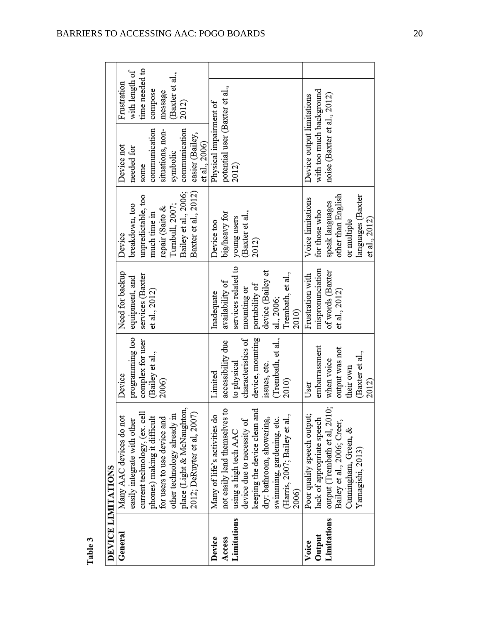Table 3

|             | DEVICE LIMITATIONS                       |                    |                     |                      |                                |                 |
|-------------|------------------------------------------|--------------------|---------------------|----------------------|--------------------------------|-----------------|
| General     | Many AAC devices do not                  | Device             | Need for backup     | Device               | Device not                     | Frustration     |
|             | easily integrate with other              | programming too    | equipment, and      | breakdown, too       | needed for                     | with length of  |
|             | current technology, (ex. cell            | complex for user   | services (Baxter    | unpredictable, too   | some                           | time needed to  |
|             | phones) making it difficult              | (Bailey et al.,    | et al., 2012)       | much time in         | communication                  | compose         |
|             | for users to use device and              | 2006)              |                     | repair (Saito &      | situations, non-               | message         |
|             | other technology already in              |                    |                     | Turnbull, 2007;      | symbolic                       | (Baxter et al., |
|             | place (Light & McNaughton,               |                    |                     | Bailey et al., 2006; | communication                  | 2012)           |
|             | 2012; DeRuyter et al, 2007               |                    |                     | Baxter et al., 2012) | easier (Bailey,                |                 |
|             |                                          |                    |                     |                      | et al., 2006)                  |                 |
| Device      | Many of life's activities do             | Limited            | Inadequate          | Device too           | Physical impairment of         |                 |
| Access      | not easily lend themselves to            | accessibility due  | availability of     | big/heavy for        | potential user (Baxter et al., |                 |
| Limitations | using a high tech AAC                    | to physical        | services related to | young users          | 2012)                          |                 |
|             | device due to necessity of               | characteristics of | mounting or         | (Baxter et al.,      |                                |                 |
|             | keeping the device clean and             | device, mounting   | portability of      | 2012)                |                                |                 |
|             | dry: bathroom, showering,                | issues, etc.       | device (Bailey et   |                      |                                |                 |
|             | swimming, gardening, etc.                | (Trembath, et al., | al., 2006;          |                      |                                |                 |
|             | (Harris, 2007; Bailey et al.,            | 2010)              | Trembath, et al.,   |                      |                                |                 |
|             | 2006)                                    |                    | 2010)               |                      |                                |                 |
| Voice       | Poor quality speech output;              | User               | Frustration with    | Voice limitations    | Device output limitations      |                 |
| Output      | lack of appropriate speech               | embarrassment      | mispronunciation    | for those who        | with too much background       |                 |
| Limitations | output (Trembath et al, 2010; when voice |                    | of words (Baxter    | speak languages      | noise (Baxter et al., 2012)    |                 |
|             | Bailey et al., 2006; Creer,              | output was not     | et al., 2012)       | other than English   |                                |                 |
|             | Cunningham, Green, &                     | their own          |                     | or multiple          |                                |                 |
|             | Yamagishi, 2013)                         | (Baxter et al.,    |                     | languages (Baxter    |                                |                 |
|             |                                          | 2012)              |                     | et al., 2012)        |                                |                 |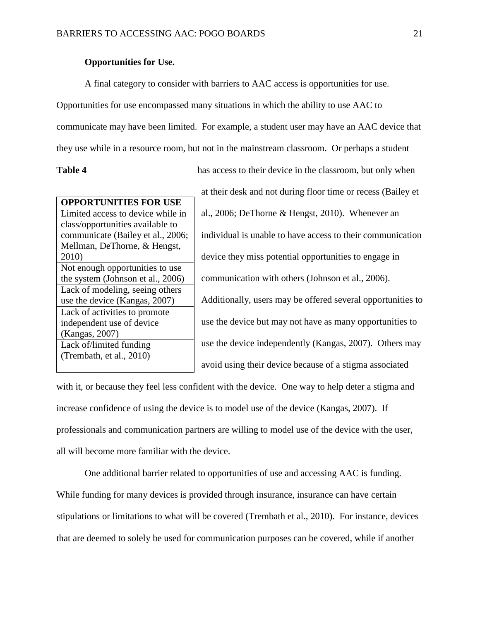#### **Opportunities for Use.**

A final category to consider with barriers to AAC access is opportunities for use. Opportunities for use encompassed many situations in which the ability to use AAC to communicate may have been limited. For example, a student user may have an AAC device that they use while in a resource room, but not in the mainstream classroom. Or perhaps a student

**Table 4** has access to their device in the classroom, but only when at their desk and not during floor time or recess (Bailey et al., 2006; DeThorne & Hengst, 2010). Whenever an individual is unable to have access to their communication device they miss potential opportunities to engage in communication with others (Johnson et al., 2006). Additionally, users may be offered several opportunities to use the device but may not have as many opportunities to use the device independently (Kangas, 2007). Others may avoid using their device because of a stigma associated

with it, or because they feel less confident with the device. One way to help deter a stigma and increase confidence of using the device is to model use of the device (Kangas, 2007). If professionals and communication partners are willing to model use of the device with the user, all will become more familiar with the device.

One additional barrier related to opportunities of use and accessing AAC is funding. While funding for many devices is provided through insurance, insurance can have certain stipulations or limitations to what will be covered (Trembath et al., 2010). For instance, devices that are deemed to solely be used for communication purposes can be covered, while if another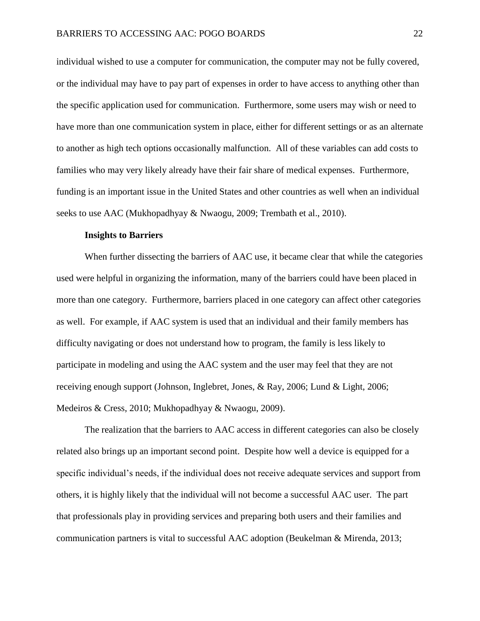individual wished to use a computer for communication, the computer may not be fully covered, or the individual may have to pay part of expenses in order to have access to anything other than the specific application used for communication. Furthermore, some users may wish or need to have more than one communication system in place, either for different settings or as an alternate to another as high tech options occasionally malfunction. All of these variables can add costs to families who may very likely already have their fair share of medical expenses. Furthermore, funding is an important issue in the United States and other countries as well when an individual seeks to use AAC (Mukhopadhyay & Nwaogu, 2009; Trembath et al., 2010).

#### **Insights to Barriers**

When further dissecting the barriers of AAC use, it became clear that while the categories used were helpful in organizing the information, many of the barriers could have been placed in more than one category. Furthermore, barriers placed in one category can affect other categories as well. For example, if AAC system is used that an individual and their family members has difficulty navigating or does not understand how to program, the family is less likely to participate in modeling and using the AAC system and the user may feel that they are not receiving enough support (Johnson, Inglebret, Jones, & Ray, 2006; Lund & Light, 2006; Medeiros & Cress, 2010; Mukhopadhyay & Nwaogu, 2009).

The realization that the barriers to AAC access in different categories can also be closely related also brings up an important second point. Despite how well a device is equipped for a specific individual's needs, if the individual does not receive adequate services and support from others, it is highly likely that the individual will not become a successful AAC user. The part that professionals play in providing services and preparing both users and their families and communication partners is vital to successful AAC adoption (Beukelman & Mirenda, 2013;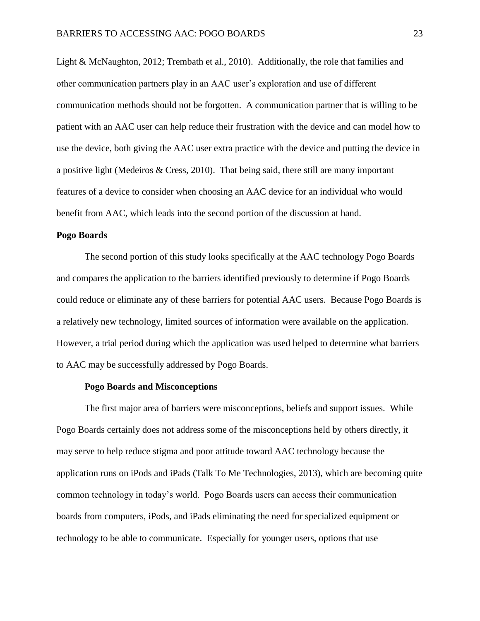Light & McNaughton, 2012; Trembath et al., 2010). Additionally, the role that families and other communication partners play in an AAC user's exploration and use of different communication methods should not be forgotten. A communication partner that is willing to be patient with an AAC user can help reduce their frustration with the device and can model how to use the device, both giving the AAC user extra practice with the device and putting the device in a positive light (Medeiros & Cress, 2010). That being said, there still are many important features of a device to consider when choosing an AAC device for an individual who would benefit from AAC, which leads into the second portion of the discussion at hand.

#### **Pogo Boards**

The second portion of this study looks specifically at the AAC technology Pogo Boards and compares the application to the barriers identified previously to determine if Pogo Boards could reduce or eliminate any of these barriers for potential AAC users. Because Pogo Boards is a relatively new technology, limited sources of information were available on the application. However, a trial period during which the application was used helped to determine what barriers to AAC may be successfully addressed by Pogo Boards.

#### **Pogo Boards and Misconceptions**

The first major area of barriers were misconceptions, beliefs and support issues. While Pogo Boards certainly does not address some of the misconceptions held by others directly, it may serve to help reduce stigma and poor attitude toward AAC technology because the application runs on iPods and iPads (Talk To Me Technologies, 2013), which are becoming quite common technology in today's world. Pogo Boards users can access their communication boards from computers, iPods, and iPads eliminating the need for specialized equipment or technology to be able to communicate. Especially for younger users, options that use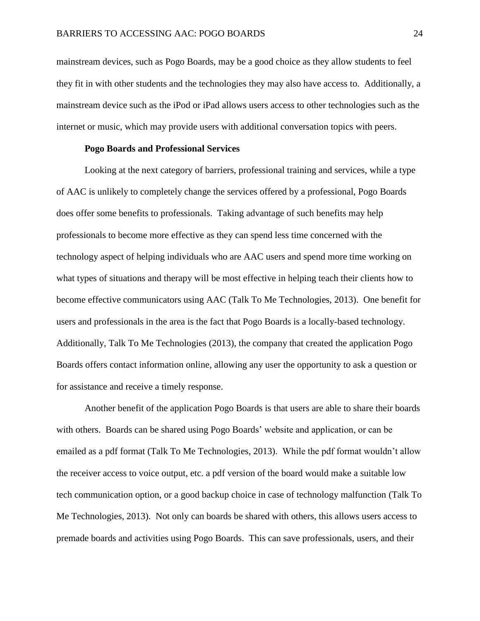mainstream devices, such as Pogo Boards, may be a good choice as they allow students to feel they fit in with other students and the technologies they may also have access to. Additionally, a mainstream device such as the iPod or iPad allows users access to other technologies such as the internet or music, which may provide users with additional conversation topics with peers.

#### **Pogo Boards and Professional Services**

Looking at the next category of barriers, professional training and services, while a type of AAC is unlikely to completely change the services offered by a professional, Pogo Boards does offer some benefits to professionals. Taking advantage of such benefits may help professionals to become more effective as they can spend less time concerned with the technology aspect of helping individuals who are AAC users and spend more time working on what types of situations and therapy will be most effective in helping teach their clients how to become effective communicators using AAC (Talk To Me Technologies, 2013). One benefit for users and professionals in the area is the fact that Pogo Boards is a locally-based technology. Additionally, Talk To Me Technologies (2013), the company that created the application Pogo Boards offers contact information online, allowing any user the opportunity to ask a question or for assistance and receive a timely response.

Another benefit of the application Pogo Boards is that users are able to share their boards with others. Boards can be shared using Pogo Boards' website and application, or can be emailed as a pdf format (Talk To Me Technologies, 2013). While the pdf format wouldn't allow the receiver access to voice output, etc. a pdf version of the board would make a suitable low tech communication option, or a good backup choice in case of technology malfunction (Talk To Me Technologies, 2013). Not only can boards be shared with others, this allows users access to premade boards and activities using Pogo Boards. This can save professionals, users, and their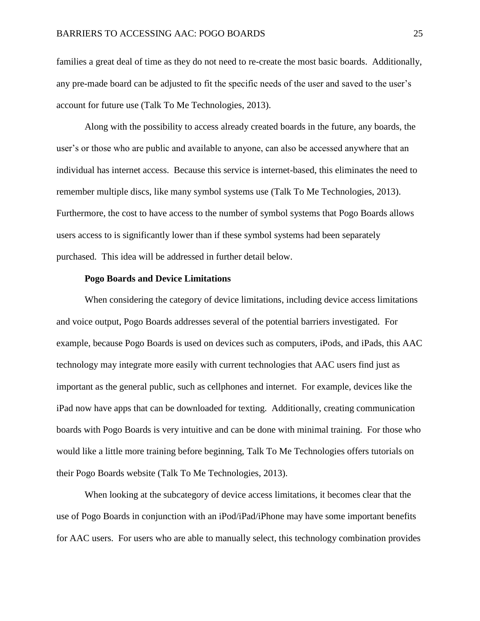families a great deal of time as they do not need to re-create the most basic boards. Additionally, any pre-made board can be adjusted to fit the specific needs of the user and saved to the user's account for future use (Talk To Me Technologies, 2013).

Along with the possibility to access already created boards in the future, any boards, the user's or those who are public and available to anyone, can also be accessed anywhere that an individual has internet access. Because this service is internet-based, this eliminates the need to remember multiple discs, like many symbol systems use (Talk To Me Technologies, 2013). Furthermore, the cost to have access to the number of symbol systems that Pogo Boards allows users access to is significantly lower than if these symbol systems had been separately purchased. This idea will be addressed in further detail below.

#### **Pogo Boards and Device Limitations**

When considering the category of device limitations, including device access limitations and voice output, Pogo Boards addresses several of the potential barriers investigated. For example, because Pogo Boards is used on devices such as computers, iPods, and iPads, this AAC technology may integrate more easily with current technologies that AAC users find just as important as the general public, such as cellphones and internet. For example, devices like the iPad now have apps that can be downloaded for texting. Additionally, creating communication boards with Pogo Boards is very intuitive and can be done with minimal training. For those who would like a little more training before beginning, Talk To Me Technologies offers tutorials on their Pogo Boards website (Talk To Me Technologies, 2013).

When looking at the subcategory of device access limitations, it becomes clear that the use of Pogo Boards in conjunction with an iPod/iPad/iPhone may have some important benefits for AAC users. For users who are able to manually select, this technology combination provides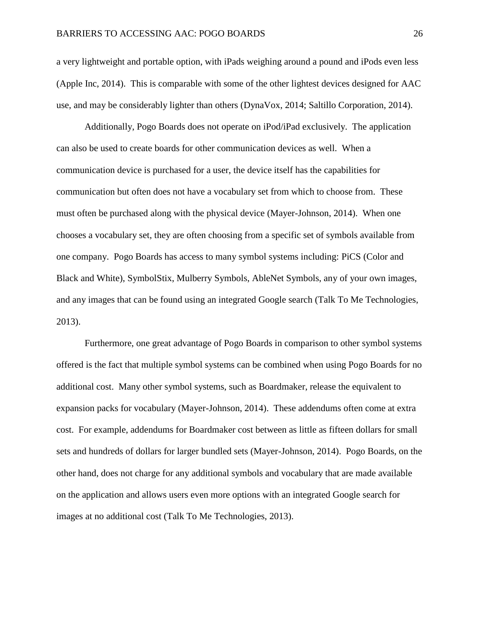a very lightweight and portable option, with iPads weighing around a pound and iPods even less (Apple Inc, 2014). This is comparable with some of the other lightest devices designed for AAC use, and may be considerably lighter than others (DynaVox, 2014; Saltillo Corporation, 2014).

Additionally, Pogo Boards does not operate on iPod/iPad exclusively. The application can also be used to create boards for other communication devices as well. When a communication device is purchased for a user, the device itself has the capabilities for communication but often does not have a vocabulary set from which to choose from. These must often be purchased along with the physical device (Mayer-Johnson, 2014). When one chooses a vocabulary set, they are often choosing from a specific set of symbols available from one company. Pogo Boards has access to many symbol systems including: PiCS (Color and Black and White), SymbolStix, Mulberry Symbols, AbleNet Symbols, any of your own images, and any images that can be found using an integrated Google search (Talk To Me Technologies, 2013).

Furthermore, one great advantage of Pogo Boards in comparison to other symbol systems offered is the fact that multiple symbol systems can be combined when using Pogo Boards for no additional cost. Many other symbol systems, such as Boardmaker, release the equivalent to expansion packs for vocabulary (Mayer-Johnson, 2014). These addendums often come at extra cost. For example, addendums for Boardmaker cost between as little as fifteen dollars for small sets and hundreds of dollars for larger bundled sets (Mayer-Johnson, 2014). Pogo Boards, on the other hand, does not charge for any additional symbols and vocabulary that are made available on the application and allows users even more options with an integrated Google search for images at no additional cost (Talk To Me Technologies, 2013).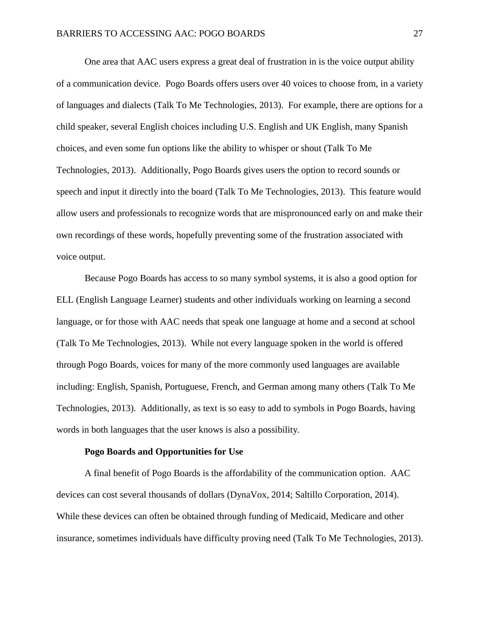One area that AAC users express a great deal of frustration in is the voice output ability of a communication device. Pogo Boards offers users over 40 voices to choose from, in a variety of languages and dialects (Talk To Me Technologies, 2013). For example, there are options for a child speaker, several English choices including U.S. English and UK English, many Spanish choices, and even some fun options like the ability to whisper or shout (Talk To Me Technologies, 2013). Additionally, Pogo Boards gives users the option to record sounds or speech and input it directly into the board (Talk To Me Technologies, 2013). This feature would allow users and professionals to recognize words that are mispronounced early on and make their own recordings of these words, hopefully preventing some of the frustration associated with voice output.

Because Pogo Boards has access to so many symbol systems, it is also a good option for ELL (English Language Learner) students and other individuals working on learning a second language, or for those with AAC needs that speak one language at home and a second at school (Talk To Me Technologies, 2013). While not every language spoken in the world is offered through Pogo Boards, voices for many of the more commonly used languages are available including: English, Spanish, Portuguese, French, and German among many others (Talk To Me Technologies, 2013). Additionally, as text is so easy to add to symbols in Pogo Boards, having words in both languages that the user knows is also a possibility.

#### **Pogo Boards and Opportunities for Use**

A final benefit of Pogo Boards is the affordability of the communication option. AAC devices can cost several thousands of dollars (DynaVox, 2014; Saltillo Corporation, 2014). While these devices can often be obtained through funding of Medicaid, Medicare and other insurance, sometimes individuals have difficulty proving need (Talk To Me Technologies, 2013).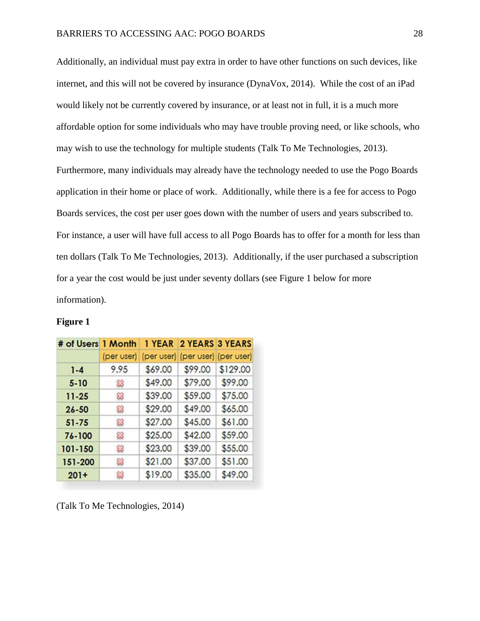Additionally, an individual must pay extra in order to have other functions on such devices, like internet, and this will not be covered by insurance (DynaVox, 2014). While the cost of an iPad would likely not be currently covered by insurance, or at least not in full, it is a much more affordable option for some individuals who may have trouble proving need, or like schools, who may wish to use the technology for multiple students (Talk To Me Technologies, 2013). Furthermore, many individuals may already have the technology needed to use the Pogo Boards application in their home or place of work. Additionally, while there is a fee for access to Pogo Boards services, the cost per user goes down with the number of users and years subscribed to. For instance, a user will have full access to all Pogo Boards has to offer for a month for less than ten dollars (Talk To Me Technologies, 2013). Additionally, if the user purchased a subscription for a year the cost would be just under seventy dollars (see Figure 1 below for more information).

| # of Users 1 Month |            | 1 YEAR  | 2 YEARS 3 YEARS                  |          |
|--------------------|------------|---------|----------------------------------|----------|
|                    | (per user) |         | (per user) (per user) (per user) |          |
| $1 - 4$            | 9.95       | \$69.00 | \$99.00                          | \$129.00 |
| $5 - 10$           | జ          | \$49.00 | \$79.00                          | \$99.00  |
| $11 - 25$          | జ          | \$39.00 | \$59.00                          | \$75.00  |
| $26 - 50$          | జ          | \$29.00 | \$49.00                          | \$65.00  |
| $51 - 75$          | జ          | \$27.00 | \$45.00                          | \$61.00  |
| 76-100             | జ          | \$25.00 | \$42.00                          | \$59.00  |
| 101-150            | జ          | \$23.00 | \$39.00                          | \$55.00  |
| 151-200            | జ          | \$21.00 | \$37.00                          | \$51.00  |
| $201+$             | B          | \$19.00 | \$35,00                          | \$49,00  |

#### **Figure 1**

(Talk To Me Technologies, 2014)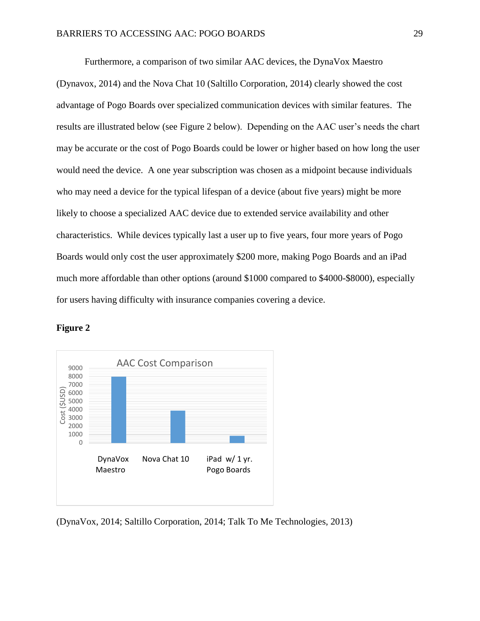Furthermore, a comparison of two similar AAC devices, the DynaVox Maestro (Dynavox, 2014) and the Nova Chat 10 (Saltillo Corporation, 2014) clearly showed the cost advantage of Pogo Boards over specialized communication devices with similar features. The results are illustrated below (see Figure 2 below). Depending on the AAC user's needs the chart may be accurate or the cost of Pogo Boards could be lower or higher based on how long the user would need the device. A one year subscription was chosen as a midpoint because individuals who may need a device for the typical lifespan of a device (about five years) might be more likely to choose a specialized AAC device due to extended service availability and other characteristics. While devices typically last a user up to five years, four more years of Pogo Boards would only cost the user approximately \$200 more, making Pogo Boards and an iPad much more affordable than other options (around \$1000 compared to \$4000-\$8000), especially for users having difficulty with insurance companies covering a device.



**Figure 2**

(DynaVox, 2014; Saltillo Corporation, 2014; Talk To Me Technologies, 2013)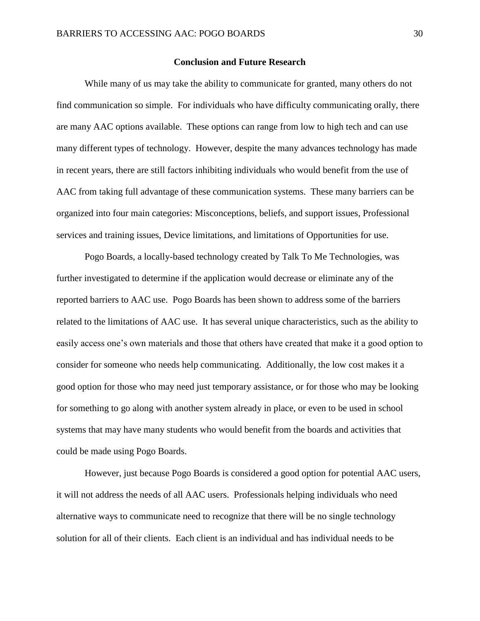#### **Conclusion and Future Research**

While many of us may take the ability to communicate for granted, many others do not find communication so simple. For individuals who have difficulty communicating orally, there are many AAC options available. These options can range from low to high tech and can use many different types of technology. However, despite the many advances technology has made in recent years, there are still factors inhibiting individuals who would benefit from the use of AAC from taking full advantage of these communication systems. These many barriers can be organized into four main categories: Misconceptions, beliefs, and support issues, Professional services and training issues, Device limitations, and limitations of Opportunities for use.

Pogo Boards, a locally-based technology created by Talk To Me Technologies, was further investigated to determine if the application would decrease or eliminate any of the reported barriers to AAC use. Pogo Boards has been shown to address some of the barriers related to the limitations of AAC use. It has several unique characteristics, such as the ability to easily access one's own materials and those that others have created that make it a good option to consider for someone who needs help communicating. Additionally, the low cost makes it a good option for those who may need just temporary assistance, or for those who may be looking for something to go along with another system already in place, or even to be used in school systems that may have many students who would benefit from the boards and activities that could be made using Pogo Boards.

However, just because Pogo Boards is considered a good option for potential AAC users, it will not address the needs of all AAC users. Professionals helping individuals who need alternative ways to communicate need to recognize that there will be no single technology solution for all of their clients. Each client is an individual and has individual needs to be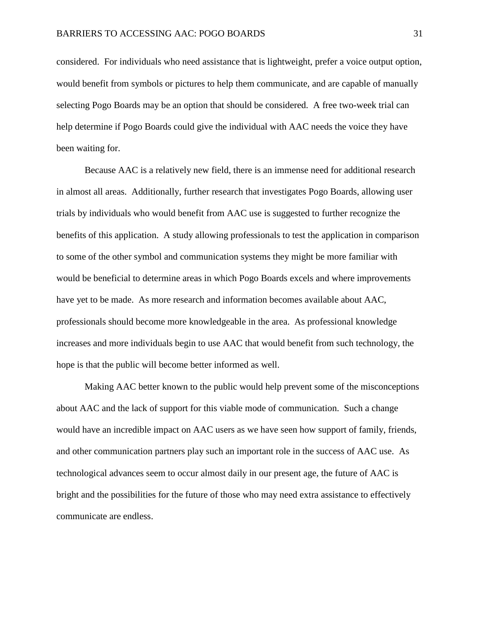considered. For individuals who need assistance that is lightweight, prefer a voice output option, would benefit from symbols or pictures to help them communicate, and are capable of manually selecting Pogo Boards may be an option that should be considered. A free two-week trial can help determine if Pogo Boards could give the individual with AAC needs the voice they have been waiting for.

Because AAC is a relatively new field, there is an immense need for additional research in almost all areas. Additionally, further research that investigates Pogo Boards, allowing user trials by individuals who would benefit from AAC use is suggested to further recognize the benefits of this application. A study allowing professionals to test the application in comparison to some of the other symbol and communication systems they might be more familiar with would be beneficial to determine areas in which Pogo Boards excels and where improvements have yet to be made. As more research and information becomes available about AAC, professionals should become more knowledgeable in the area. As professional knowledge increases and more individuals begin to use AAC that would benefit from such technology, the hope is that the public will become better informed as well.

Making AAC better known to the public would help prevent some of the misconceptions about AAC and the lack of support for this viable mode of communication. Such a change would have an incredible impact on AAC users as we have seen how support of family, friends, and other communication partners play such an important role in the success of AAC use. As technological advances seem to occur almost daily in our present age, the future of AAC is bright and the possibilities for the future of those who may need extra assistance to effectively communicate are endless.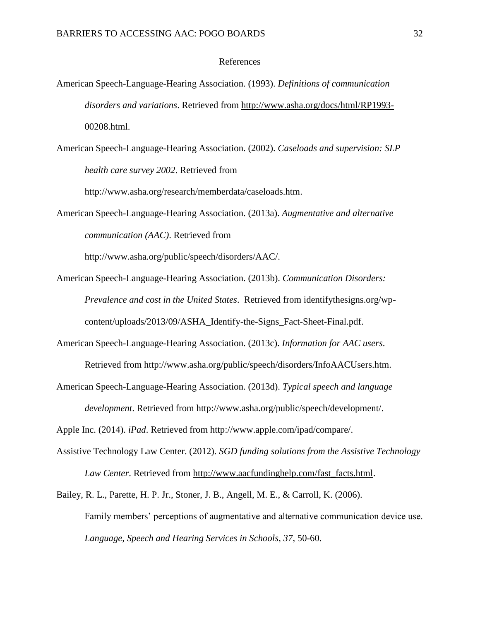#### References

- American Speech-Language-Hearing Association. (1993). *Definitions of communication disorders and variations*. Retrieved from [http://www.asha.org/docs/html/RP1993-](http://www.asha.org/docs/html/RP1993-00208.html) [00208.html.](http://www.asha.org/docs/html/RP1993-00208.html)
- American Speech-Language-Hearing Association. (2002). *Caseloads and supervision: SLP health care survey 2002*. Retrieved from

http://www.asha.org/research/memberdata/caseloads.htm.

American Speech-Language-Hearing Association. (2013a). *Augmentative and alternative communication (AAC)*. Retrieved from

http://www.asha.org/public/speech/disorders/AAC/.

- American Speech-Language-Hearing Association. (2013b). *Communication Disorders: Prevalence and cost in the United States*. Retrieved from identifythesigns.org/wpcontent/uploads/2013/09/ASHA\_Identify-the-Signs\_Fact-Sheet-Final.pdf.
- American Speech-Language-Hearing Association. (2013c). *Information for AAC users*. Retrieved from [http://www.asha.org/public/speech/disorders/InfoAACUsers.htm.](http://www.asha.org/public/speech/disorders/InfoAACUsers.htm)
- American Speech-Language-Hearing Association. (2013d). *Typical speech and language development*. Retrieved from http://www.asha.org/public/speech/development/.

Apple Inc. (2014). *iPad*. Retrieved from http://www.apple.com/ipad/compare/.

- Assistive Technology Law Center. (2012). *SGD funding solutions from the Assistive Technology Law Center*. Retrieved from [http://www.aacfundinghelp.com/fast\\_facts.html.](http://www.aacfundinghelp.com/fast_facts.html)
- Bailey, R. L., Parette, H. P. Jr., Stoner, J. B., Angell, M. E., & Carroll, K. (2006). Family members' perceptions of augmentative and alternative communication device use. *Language, Speech and Hearing Services in Schools, 37*, 50-60.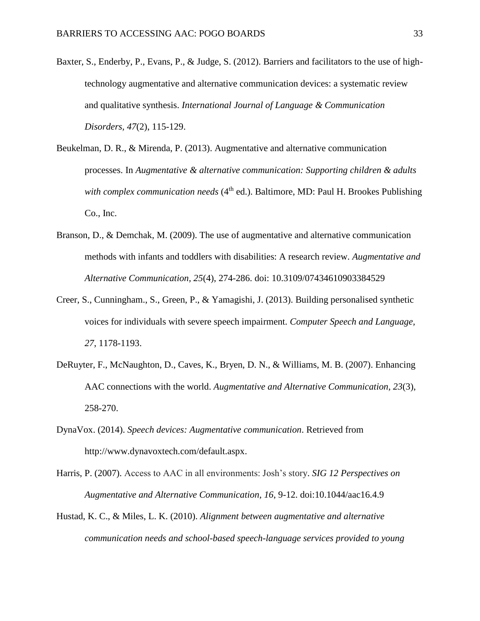- Baxter, S., Enderby, P., Evans, P., & Judge, S. (2012). Barriers and facilitators to the use of hightechnology augmentative and alternative communication devices: a systematic review and qualitative synthesis. *International Journal of Language & Communication Disorders, 47*(2), 115-129.
- Beukelman, D. R., & Mirenda, P. (2013). Augmentative and alternative communication processes. In *Augmentative & alternative communication: Supporting children & adults with complex communication needs* (4<sup>th</sup> ed.). Baltimore, MD: Paul H. Brookes Publishing Co., Inc.
- Branson, D., & Demchak, M. (2009). The use of augmentative and alternative communication methods with infants and toddlers with disabilities: A research review. *Augmentative and Alternative Communication, 25*(4), 274-286. doi: 10.3109/07434610903384529
- Creer, S., Cunningham., S., Green, P., & Yamagishi, J. (2013). Building personalised synthetic voices for individuals with severe speech impairment. *Computer Speech and Language, 27*, 1178-1193.
- DeRuyter, F., McNaughton, D., Caves, K., Bryen, D. N., & Williams, M. B. (2007). Enhancing AAC connections with the world. *Augmentative and Alternative Communication, 23*(3), 258-270.
- DynaVox. (2014). *Speech devices: Augmentative communication*. Retrieved from http://www.dynavoxtech.com/default.aspx.
- Harris, P. (2007). Access to AAC in all environments: Josh's story. *SIG 12 Perspectives on Augmentative and Alternative Communication, 16*, 9-12. doi:10.1044/aac16.4.9
- Hustad, K. C., & Miles, L. K. (2010). *Alignment between augmentative and alternative communication needs and school-based speech-language services provided to young*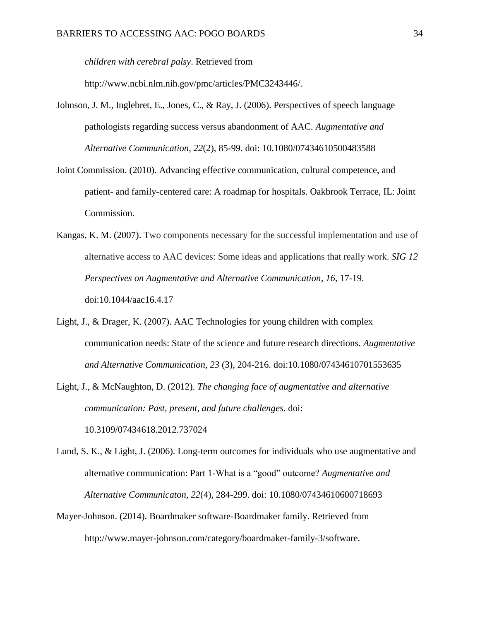*children with cerebral palsy*. Retrieved from

[http://www.ncbi.nlm.nih.gov/pmc/articles/PMC3243446/.](http://www.ncbi.nlm.nih.gov/pmc/articles/PMC3243446/)

- Johnson, J. M., Inglebret, E., Jones, C., & Ray, J. (2006). Perspectives of speech language pathologists regarding success versus abandonment of AAC. *Augmentative and Alternative Communication, 22*(2), 85-99. doi: 10.1080/07434610500483588
- Joint Commission. (2010). Advancing effective communication, cultural competence, and patient- and family-centered care: A roadmap for hospitals. Oakbrook Terrace, IL: Joint Commission.
- Kangas, K. M. (2007). Two components necessary for the successful implementation and use of alternative access to AAC devices: Some ideas and applications that really work. *SIG 12 Perspectives on Augmentative and Alternative Communication, 16*, 17-19. doi:10.1044/aac16.4.17
- Light, J., & Drager, K. (2007). AAC Technologies for young children with complex communication needs: State of the science and future research directions. *Augmentative and Alternative Communication, 23* (3), 204-216. doi:10.1080/07434610701553635
- Light, J., & McNaughton, D. (2012). *The changing face of augmentative and alternative communication: Past, present, and future challenges*. doi: 10.3109/07434618.2012.737024
- Lund, S. K., & Light, J. (2006). Long-term outcomes for individuals who use augmentative and alternative communication: Part 1-What is a "good" outcome? *Augmentative and Alternative Communicaton, 22*(4), 284-299. doi: 10.1080/07434610600718693
- Mayer-Johnson. (2014). Boardmaker software-Boardmaker family. Retrieved from http://www.mayer-johnson.com/category/boardmaker-family-3/software.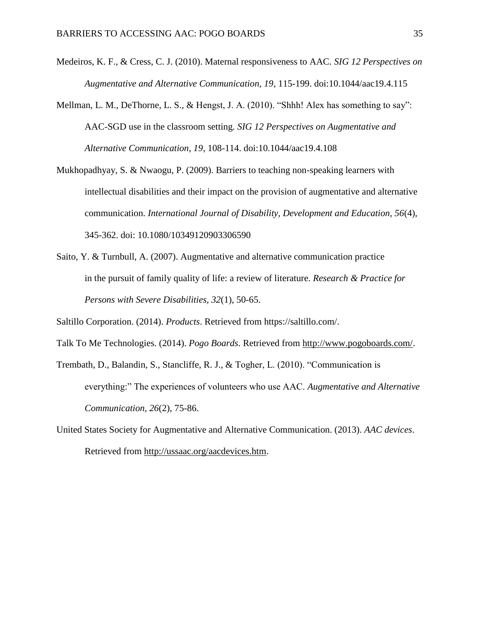- Medeiros, K. F., & Cress, C. J. (2010). Maternal responsiveness to AAC*. SIG 12 Perspectives on Augmentative and Alternative Communication, 19*, 115-199. doi:10.1044/aac19.4.115
- Mellman, L. M., DeThorne, L. S., & Hengst, J. A. (2010). "Shhh! Alex has something to say": AAC-SGD use in the classroom setting. *SIG 12 Perspectives on Augmentative and Alternative Communication, 19*, 108-114. doi:10.1044/aac19.4.108
- Mukhopadhyay, S. & Nwaogu, P. (2009). Barriers to teaching non-speaking learners with intellectual disabilities and their impact on the provision of augmentative and alternative communication. *International Journal of Disability, Development and Education, 56*(4), 345-362. doi: 10.1080/10349120903306590
- Saito, Y. & Turnbull, A. (2007). Augmentative and alternative communication practice in the pursuit of family quality of life: a review of literature*. Research & Practice for Persons with Severe Disabilities, 32*(1), 50-65.

Saltillo Corporation. (2014). *Products*. Retrieved from https://saltillo.com/.

Talk To Me Technologies. (2014). *Pogo Boards*. Retrieved from [http://www.pogoboards.com/.](http://www.pogoboards.com/)

- Trembath, D., Balandin, S., Stancliffe, R. J., & Togher, L. (2010). "Communication is everything:" The experiences of volunteers who use AAC. *Augmentative and Alternative Communication, 26*(2), 75-86.
- United States Society for Augmentative and Alternative Communication. (2013). *AAC devices*. Retrieved from [http://ussaac.org/aacdevices.htm.](http://ussaac.org/aacdevices.htm)